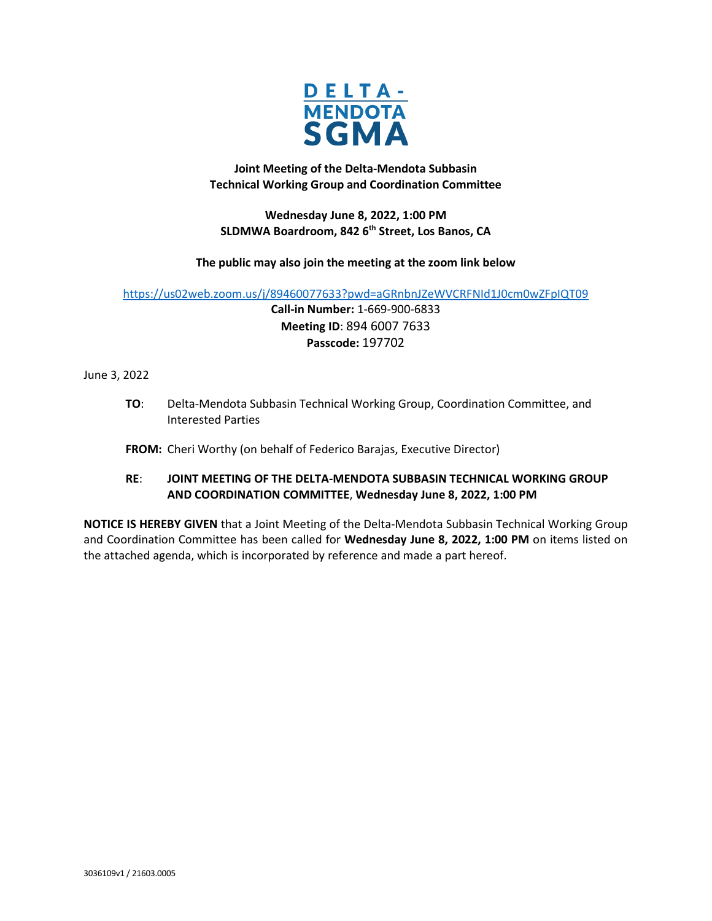

**Joint Meeting of the Delta-Mendota Subbasin Technical Working Group and Coordination Committee** 

**Wednesday June 8, 2022, 1:00 PM SLDMWA Boardroom, 842 6th Street, Los Banos, CA**

# **The public may also join the meeting at the zoom link below**

<https://us02web.zoom.us/j/89460077633?pwd=aGRnbnJZeWVCRFNId1J0cm0wZFpIQT09>

**Call-in Number:** 1-669-900-6833 **Meeting ID**: 894 6007 7633 **Passcode:** 197702

# June 3, 2022

**TO**: Delta-Mendota Subbasin Technical Working Group, Coordination Committee, and Interested Parties

# **FROM:** Cheri Worthy (on behalf of Federico Barajas, Executive Director)

# **RE**: **JOINT MEETING OF THE DELTA-MENDOTA SUBBASIN TECHNICAL WORKING GROUP AND COORDINATION COMMITTEE**, **Wednesday June 8, 2022, 1:00 PM**

**NOTICE IS HEREBY GIVEN** that a Joint Meeting of the Delta-Mendota Subbasin Technical Working Group and Coordination Committee has been called for **Wednesday June 8, 2022, 1:00 PM** on items listed on the attached agenda, which is incorporated by reference and made a part hereof.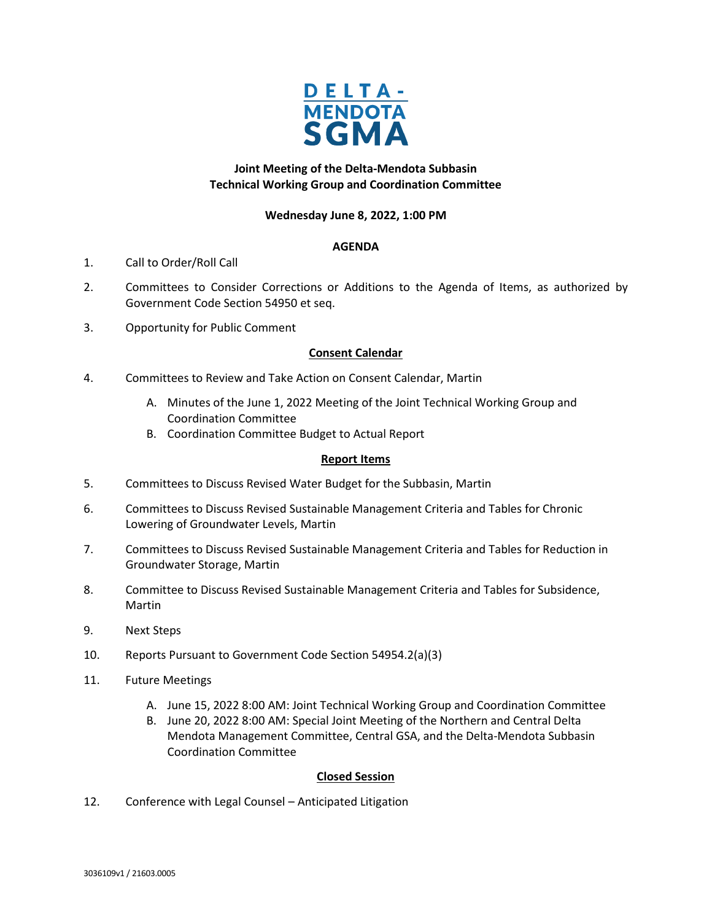

# **Joint Meeting of the Delta-Mendota Subbasin Technical Working Group and Coordination Committee**

# **Wednesday June 8, 2022, 1:00 PM**

## **AGENDA**

- 1. Call to Order/Roll Call
- 2. Committees to Consider Corrections or Additions to the Agenda of Items, as authorized by Government Code Section 54950 et seq.
- 3. Opportunity for Public Comment

## **Consent Calendar**

- 4. Committees to Review and Take Action on Consent Calendar, Martin
	- A. Minutes of the June 1, 2022 Meeting of the Joint Technical Working Group and Coordination Committee
	- B. Coordination Committee Budget to Actual Report

## **Report Items**

- 5. Committees to Discuss Revised Water Budget for the Subbasin, Martin
- 6. Committees to Discuss Revised Sustainable Management Criteria and Tables for Chronic Lowering of Groundwater Levels, Martin
- 7. Committees to Discuss Revised Sustainable Management Criteria and Tables for Reduction in Groundwater Storage, Martin
- 8. Committee to Discuss Revised Sustainable Management Criteria and Tables for Subsidence, Martin
- 9. Next Steps
- 10. Reports Pursuant to Government Code Section 54954.2(a)(3)
- 11. Future Meetings
	- A. June 15, 2022 8:00 AM: Joint Technical Working Group and Coordination Committee
	- B. June 20, 2022 8:00 AM: Special Joint Meeting of the Northern and Central Delta Mendota Management Committee, Central GSA, and the Delta-Mendota Subbasin Coordination Committee

## **Closed Session**

12. Conference with Legal Counsel – Anticipated Litigation